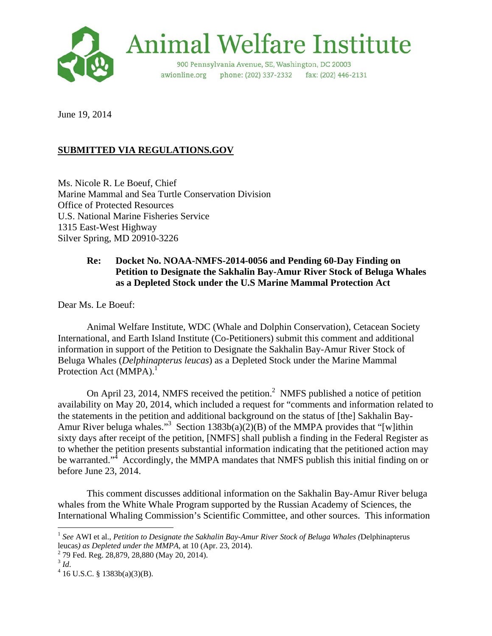

June 19, 2014

# **SUBMITTED VIA REGULATIONS.GOV**

Ms. Nicole R. Le Boeuf, Chief Marine Mammal and Sea Turtle Conservation Division Office of Protected Resources U.S. National Marine Fisheries Service 1315 East-West Highway Silver Spring, MD 20910-3226

## **Re: Docket No. NOAA-NMFS-2014-0056 and Pending 60-Day Finding on Petition to Designate the Sakhalin Bay-Amur River Stock of Beluga Whales as a Depleted Stock under the U.S Marine Mammal Protection Act**

Dear Ms. Le Boeuf:

 Animal Welfare Institute, WDC (Whale and Dolphin Conservation), Cetacean Society International, and Earth Island Institute (Co-Petitioners) submit this comment and additional information in support of the Petition to Designate the Sakhalin Bay-Amur River Stock of Beluga Whales (*Delphinapterus leucas*) as a Depleted Stock under the Marine Mammal Protection Act (MMPA).<sup>1</sup>

On April 23, 2014, NMFS received the petition.<sup>2</sup> NMFS published a notice of petition availability on May 20, 2014, which included a request for "comments and information related to the statements in the petition and additional background on the status of [the] Sakhalin Bay-Amur River beluga whales."<sup>3</sup> Section 1383b(a)(2)(B) of the MMPA provides that "[w]ithin sixty days after receipt of the petition, [NMFS] shall publish a finding in the Federal Register as to whether the petition presents substantial information indicating that the petitioned action may be warranted."<sup>4</sup> Accordingly, the MMPA mandates that NMFS publish this initial finding on or before June 23, 2014.

 This comment discusses additional information on the Sakhalin Bay-Amur River beluga whales from the White Whale Program supported by the Russian Academy of Sciences, the International Whaling Commission's Scientific Committee, and other sources. This information

<sup>1</sup> *See* AWI et al., *Petition to Designate the Sakhalin Bay-Amur River Stock of Beluga Whales (*Delphinapterus leucas*) as Depleted under the MMPA*, at 10 (Apr. 23, 2014). 2

<sup>&</sup>lt;sup>2</sup> 79 Fed. Reg. 28,879, 28,880 (May 20, 2014).

 $3$  *Id.* 

 $4$  16 U.S.C. § 1383b(a)(3)(B).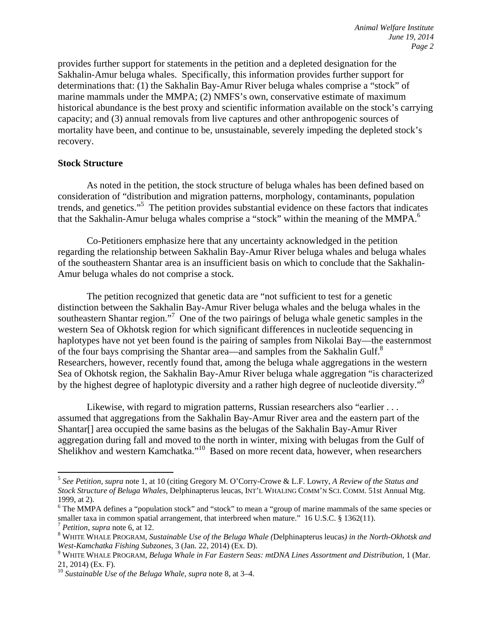provides further support for statements in the petition and a depleted designation for the Sakhalin-Amur beluga whales. Specifically, this information provides further support for determinations that: (1) the Sakhalin Bay-Amur River beluga whales comprise a "stock" of marine mammals under the MMPA; (2) NMFS's own, conservative estimate of maximum historical abundance is the best proxy and scientific information available on the stock's carrying capacity; and (3) annual removals from live captures and other anthropogenic sources of mortality have been, and continue to be, unsustainable, severely impeding the depleted stock's recovery.

#### **Stock Structure**

As noted in the petition, the stock structure of beluga whales has been defined based on consideration of "distribution and migration patterns, morphology, contaminants, population trends, and genetics."5 The petition provides substantial evidence on these factors that indicates that the Sakhalin-Amur beluga whales comprise a "stock" within the meaning of the MMPA.<sup>6</sup>

 Co-Petitioners emphasize here that any uncertainty acknowledged in the petition regarding the relationship between Sakhalin Bay-Amur River beluga whales and beluga whales of the southeastern Shantar area is an insufficient basis on which to conclude that the Sakhalin-Amur beluga whales do not comprise a stock.

The petition recognized that genetic data are "not sufficient to test for a genetic distinction between the Sakhalin Bay-Amur River beluga whales and the beluga whales in the southeastern Shantar region."<sup>7</sup> One of the two pairings of beluga whale genetic samples in the western Sea of Okhotsk region for which significant differences in nucleotide sequencing in haplotypes have not yet been found is the pairing of samples from Nikolai Bay—the easternmost of the four bays comprising the Shantar area—and samples from the Sakhalin Gulf.<sup>8</sup> Researchers, however, recently found that, among the beluga whale aggregations in the western Sea of Okhotsk region, the Sakhalin Bay-Amur River beluga whale aggregation "is characterized by the highest degree of haplotypic diversity and a rather high degree of nucleotide diversity."<sup>9</sup>

Likewise, with regard to migration patterns, Russian researchers also "earlier . . . assumed that aggregations from the Sakhalin Bay-Amur River area and the eastern part of the Shantar<sup>[]</sup> area occupied the same basins as the belugas of the Sakhalin Bay-Amur River aggregation during fall and moved to the north in winter, mixing with belugas from the Gulf of Shelikhov and western Kamchatka."<sup>10</sup> Based on more recent data, however, when researchers

<sup>5</sup> *See Petition*, *supra* note 1, at 10 (citing Gregory M. O'Corry-Crowe & L.F. Lowry, *A Review of the Status and Stock Structure of Beluga Whales*, Delphinapterus leucas, INT'L WHALING COMM'N SCI. COMM. 51st Annual Mtg. 1999, at 2).

<sup>&</sup>lt;sup>6</sup> The MMPA defines a "population stock" and "stock" to mean a "group of marine mammals of the same species or smaller taxa in common spatial arrangement, that interbreed when mature." 16 U.S.C. § 1362(11). <sup>7</sup> *Petition*, *supra* note 6, at 12.

WHITE WHALE PROGRAM, *Sustainable Use of the Beluga Whale (*Delphinapterus leucas*) in the North-Okhotsk and West-Kamchatka Fishing Subzones*, 3 (Jan. 22, 2014) (Ex. D). 9

WHITE WHALE PROGRAM, *Beluga Whale in Far Eastern Seas: mtDNA Lines Assortment and Distribution*, 1 (Mar. 21, 2014) (Ex. F).

<sup>10</sup> *Sustainable Use of the Beluga Whale*, *supra* note 8, at 3–4.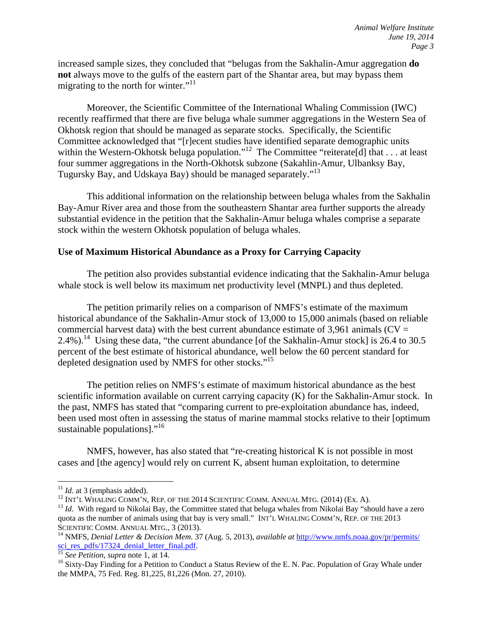increased sample sizes, they concluded that "belugas from the Sakhalin-Amur aggregation **do not** always move to the gulfs of the eastern part of the Shantar area, but may bypass them migrating to the north for winter."<sup>11</sup>

Moreover, the Scientific Committee of the International Whaling Commission (IWC) recently reaffirmed that there are five beluga whale summer aggregations in the Western Sea of Okhotsk region that should be managed as separate stocks. Specifically, the Scientific Committee acknowledged that "[r]ecent studies have identified separate demographic units within the Western-Okhotsk beluga population."<sup>12</sup> The Committee "reiterate[d] that . . . at least four summer aggregations in the North-Okhotsk subzone (Sakahlin-Amur, Ulbanksy Bay, Tugursky Bay, and Udskaya Bay) should be managed separately."13

This additional information on the relationship between beluga whales from the Sakhalin Bay-Amur River area and those from the southeastern Shantar area further supports the already substantial evidence in the petition that the Sakhalin-Amur beluga whales comprise a separate stock within the western Okhotsk population of beluga whales.

#### **Use of Maximum Historical Abundance as a Proxy for Carrying Capacity**

The petition also provides substantial evidence indicating that the Sakhalin-Amur beluga whale stock is well below its maximum net productivity level (MNPL) and thus depleted.

The petition primarily relies on a comparison of NMFS's estimate of the maximum historical abundance of the Sakhalin-Amur stock of 13,000 to 15,000 animals (based on reliable commercial harvest data) with the best current abundance estimate of 3,961 animals ( $CV =$ 2.4%).<sup>14</sup> Using these data, "the current abundance [of the Sakhalin-Amur stock] is 26.4 to 30.5 percent of the best estimate of historical abundance, well below the 60 percent standard for depleted designation used by NMFS for other stocks."<sup>15</sup>

 The petition relies on NMFS's estimate of maximum historical abundance as the best scientific information available on current carrying capacity (K) for the Sakhalin-Amur stock. In the past, NMFS has stated that "comparing current to pre-exploitation abundance has, indeed, been used most often in assessing the status of marine mammal stocks relative to their [optimum sustainable populations]."<sup>16</sup>

NMFS, however, has also stated that "re-creating historical K is not possible in most cases and [the agency] would rely on current K, absent human exploitation, to determine

<sup>&</sup>lt;sup>11</sup> *Id.* at 3 (emphasis added).<br><sup>12</sup> INT'L WHALING COMM'N, REP. OF THE 2014 SCIENTIFIC COMM. ANNUAL MTG. (2014) (Ex. A).<br><sup>13</sup> *Id.* With regard to Nikolai Bay, the Committee stated that beluga whales from Nikolai Bay "s quota as the number of animals using that bay is very small." INT'L WHALING COMM'N, REP. OF THE 2013<br>SCIENTIFIC COMM. ANNUAL MTG., 3 (2013).

<sup>&</sup>lt;sup>14</sup> NMFS, *Denial Letter & Decision Mem.* 37 (Aug. 5, 2013), *available at* <u>http://www.nmfs.noaa.gov/pr/permits/</u><br>
<sup>15</sup> See Petition, *supra* note 1, at 14.

<sup>&</sup>lt;sup>16</sup> Sixty-Day Finding for a Petition to Conduct a Status Review of the E. N. Pac. Population of Gray Whale under the MMPA, 75 Fed. Reg. 81,225, 81,226 (Mon. 27, 2010).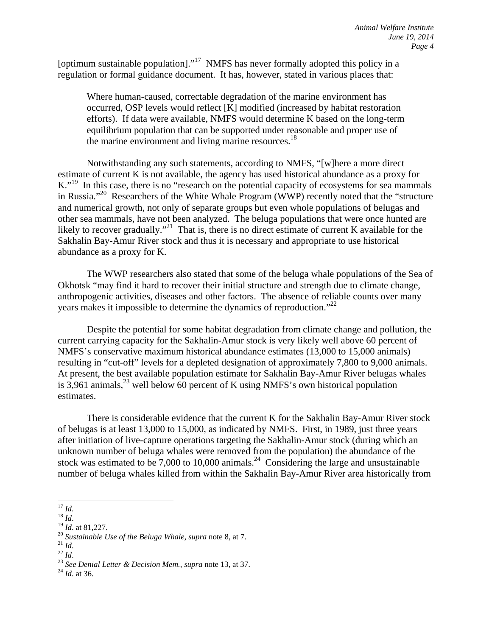[optimum sustainable population]."<sup>17</sup> NMFS has never formally adopted this policy in a regulation or formal guidance document. It has, however, stated in various places that:

Where human-caused, correctable degradation of the marine environment has occurred, OSP levels would reflect [K] modified (increased by habitat restoration efforts). If data were available, NMFS would determine K based on the long-term equilibrium population that can be supported under reasonable and proper use of the marine environment and living marine resources.<sup>18</sup>

Notwithstanding any such statements, according to NMFS, "[w]here a more direct estimate of current K is not available, the agency has used historical abundance as a proxy for K."<sup>19</sup> In this case, there is no "research on the potential capacity of ecosystems for sea mammals in Russia."20 Researchers of the White Whale Program (WWP) recently noted that the "structure and numerical growth, not only of separate groups but even whole populations of belugas and other sea mammals, have not been analyzed. The beluga populations that were once hunted are likely to recover gradually."<sup>21</sup> That is, there is no direct estimate of current K available for the Sakhalin Bay-Amur River stock and thus it is necessary and appropriate to use historical abundance as a proxy for K.

The WWP researchers also stated that some of the beluga whale populations of the Sea of Okhotsk "may find it hard to recover their initial structure and strength due to climate change, anthropogenic activities, diseases and other factors. The absence of reliable counts over many years makes it impossible to determine the dynamics of reproduction."<sup>22</sup>

Despite the potential for some habitat degradation from climate change and pollution, the current carrying capacity for the Sakhalin-Amur stock is very likely well above 60 percent of NMFS's conservative maximum historical abundance estimates (13,000 to 15,000 animals) resulting in "cut-off" levels for a depleted designation of approximately 7,800 to 9,000 animals. At present, the best available population estimate for Sakhalin Bay-Amur River belugas whales is 3,961 animals,  $^{23}$  well below 60 percent of K using NMFS's own historical population estimates.

There is considerable evidence that the current K for the Sakhalin Bay-Amur River stock of belugas is at least 13,000 to 15,000, as indicated by NMFS. First, in 1989, just three years after initiation of live-capture operations targeting the Sakhalin-Amur stock (during which an unknown number of beluga whales were removed from the population) the abundance of the stock was estimated to be  $7,000$  to 10,000 animals.<sup>24</sup> Considering the large and unsustainable number of beluga whales killed from within the Sakhalin Bay-Amur River area historically from

<sup>&</sup>lt;sup>17</sup> *Id.*<br><sup>18</sup> *Id.*<br><sup>19</sup> *Id.* at 81,227.<br><sup>20</sup> *Sustainable Use of the Beluga Whale, supra* note 8, at 7.<br><sup>21</sup> *Id.*<br><sup>22</sup> *Id.*<br><sup>23</sup> *See Denial Letter & Decision Mem., supra* note 13, at 37.<br><sup>24</sup> *Id.* at 36.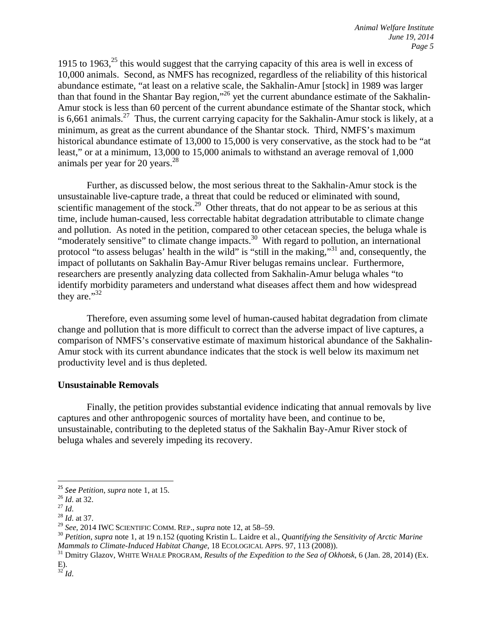1915 to 1963, $^{25}$  this would suggest that the carrying capacity of this area is well in excess of 10,000 animals. Second, as NMFS has recognized, regardless of the reliability of this historical abundance estimate, "at least on a relative scale, the Sakhalin-Amur [stock] in 1989 was larger than that found in the Shantar Bay region,"<sup>26</sup> yet the current abundance estimate of the Sakhalin-Amur stock is less than 60 percent of the current abundance estimate of the Shantar stock, which is 6,661 animals.<sup>27</sup> Thus, the current carrying capacity for the Sakhalin-Amur stock is likely, at a minimum, as great as the current abundance of the Shantar stock. Third, NMFS's maximum historical abundance estimate of 13,000 to 15,000 is very conservative, as the stock had to be "at least," or at a minimum, 13,000 to 15,000 animals to withstand an average removal of 1,000 animals per year for 20 years. $^{28}$ 

Further, as discussed below, the most serious threat to the Sakhalin-Amur stock is the unsustainable live-capture trade, a threat that could be reduced or eliminated with sound, scientific management of the stock.<sup>29</sup> Other threats, that do not appear to be as serious at this time, include human-caused, less correctable habitat degradation attributable to climate change and pollution. As noted in the petition, compared to other cetacean species, the beluga whale is "moderately sensitive" to climate change impacts.<sup>30</sup> With regard to pollution, an international protocol "to assess belugas' health in the wild" is "still in the making,"31 and, consequently, the impact of pollutants on Sakhalin Bay-Amur River belugas remains unclear. Furthermore, researchers are presently analyzing data collected from Sakhalin-Amur beluga whales "to identify morbidity parameters and understand what diseases affect them and how widespread they are."<sup>32</sup>

Therefore, even assuming some level of human-caused habitat degradation from climate change and pollution that is more difficult to correct than the adverse impact of live captures, a comparison of NMFS's conservative estimate of maximum historical abundance of the Sakhalin-Amur stock with its current abundance indicates that the stock is well below its maximum net productivity level and is thus depleted.

#### **Unsustainable Removals**

Finally, the petition provides substantial evidence indicating that annual removals by live captures and other anthropogenic sources of mortality have been, and continue to be, unsustainable, contributing to the depleted status of the Sakhalin Bay-Amur River stock of beluga whales and severely impeding its recovery.

<sup>&</sup>lt;sup>25</sup> *See Petition, supra* note 1, at 15.<br><sup>26</sup> *Id.* at 32.<br><sup>27</sup> *Id.* at 37.<br><sup>29</sup> *See*, 2014 IWC SCIENTIFIC COMM. REP., *supra* note 12, at 58–59.

<sup>&</sup>lt;sup>30</sup> *Petition, supra* note 1, at 19 n.152 (quoting Kristin L. Laidre et al., *Quantifying the Sensitivity of Arctic Marine Mammals to Climate-Induced Habitat Change*, 18 ECOLOGICAL APPS. 97, 113 (2008)). 31 Dmitry Glazov, WHITE WHALE PROGRAM, *Results of the Expedition to the Sea of Okhotsk*, 6 (Jan. 28, 2014) (Ex.

E).

<sup>32</sup> *Id*.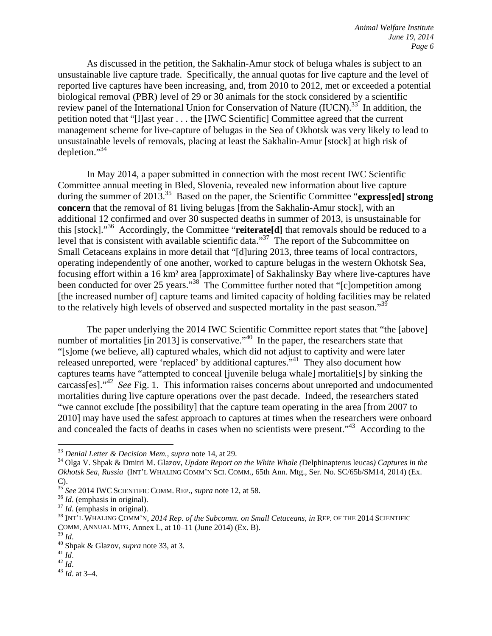As discussed in the petition, the Sakhalin-Amur stock of beluga whales is subject to an unsustainable live capture trade. Specifically, the annual quotas for live capture and the level of reported live captures have been increasing, and, from 2010 to 2012, met or exceeded a potential biological removal (PBR) level of 29 or 30 animals for the stock considered by a scientific review panel of the International Union for Conservation of Nature (IUCN).<sup>33</sup> In addition, the petition noted that "[l]ast year . . . the [IWC Scientific] Committee agreed that the current management scheme for live-capture of belugas in the Sea of Okhotsk was very likely to lead to unsustainable levels of removals, placing at least the Sakhalin-Amur [stock] at high risk of depletion." $34$ 

 In May 2014, a paper submitted in connection with the most recent IWC Scientific Committee annual meeting in Bled, Slovenia, revealed new information about live capture during the summer of 2013.<sup>35</sup> Based on the paper, the Scientific Committee "**express[ed] strong concern** that the removal of 81 living belugas [from the Sakhalin-Amur stock], with an additional 12 confirmed and over 30 suspected deaths in summer of 2013, is unsustainable for this [stock]."36 Accordingly, the Committee "**reiterate[d]** that removals should be reduced to a level that is consistent with available scientific data."<sup>37</sup> The report of the Subcommittee on Small Cetaceans explains in more detail that "[d]uring 2013, three teams of local contractors, operating independently of one another, worked to capture belugas in the western Okhotsk Sea, focusing effort within a 16 km² area [approximate] of Sakhalinsky Bay where live-captures have been conducted for over 25 years."<sup>38</sup> The Committee further noted that "[c]ompetition among [the increased number of] capture teams and limited capacity of holding facilities may be related to the relatively high levels of observed and suspected mortality in the past season."<sup>39</sup>

 The paper underlying the 2014 IWC Scientific Committee report states that "the [above] number of mortalities  $\left[\text{in } 2013\right]$  is conservative.<sup> $40$ </sup> In the paper, the researchers state that "[s]ome (we believe, all) captured whales, which did not adjust to captivity and were later released unreported, were 'replaced' by additional captures."41 They also document how captures teams have "attempted to conceal [juvenile beluga whale] mortalitie[s] by sinking the carcass[es]."42 *See* Fig. 1. This information raises concerns about unreported and undocumented mortalities during live capture operations over the past decade. Indeed, the researchers stated "we cannot exclude [the possibility] that the capture team operating in the area [from 2007 to 2010] may have used the safest approach to captures at times when the researchers were onboard and concealed the facts of deaths in cases when no scientists were present."<sup>43</sup> According to the

<sup>&</sup>lt;sup>33</sup> *Denial Letter & Decision Mem., supra* note 14, at 29.<br><sup>34</sup> Olga V. Shpak & Dmitri M. Glazov, *Update Report on the White Whale (Delphinapterus leucas) Captures in the Okhotsk Sea, Russia* (INT'L WHALING COMM'N SCI. COMM., 65th Ann. Mtg., Ser. No. SC/65b/SM14, 2014) (Ex. C).

<sup>&</sup>lt;sup>35</sup> See 2014 IWC SCIENTIFIC COMM. REP., *supra* note 12, at 58.<br><sup>36</sup> Id. (emphasis in original).<br><sup>37</sup> Id. (emphasis in original).<br><sup>38</sup> INT'L WHALING COMM'N, 2014 Rep. of the Subcomm. on Small Cetaceans, in REP. OF THE 201 COMM. ANNUAL MTG. Annex L, at  $10-11$  (June 2014) (Ex. B). <sup>39</sup> *Id.* 

<sup>39</sup> *Id*. 40 Shpak & Glazov, *supra* note 33, at 3. 41 *Id*. 42 *Id*. 43 *Id*. at 3–4.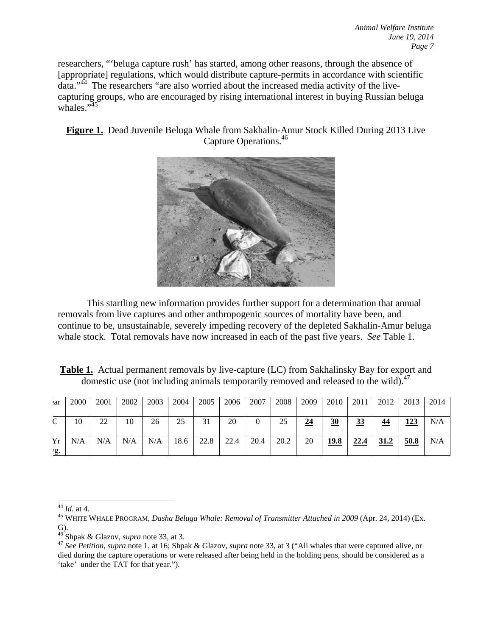researchers, "'beluga capture rush' has started, among other reasons, through the absence of [appropriate] regulations, which would distribute capture-permits in accordance with scientific data."44 The researchers "are also worried about the increased media activity of the livecapturing groups, who are encouraged by rising international interest in buying Russian beluga whales."<sup>45</sup>

**Figure 1.** Dead Juvenile Beluga Whale from Sakhalin-Amur Stock Killed During 2013 Live Capture Operations.46



This startling new information provides further support for a determination that annual removals from live captures and other anthropogenic sources of mortality have been, and continue to be, unsustainable, severely impeding recovery of the depleted Sakhalin-Amur beluga whale stock. Total removals have now increased in each of the past five years. *See* Table 1.

| <b>Table 1.</b> Actual permanent removals by live-capture (LC) from Sakhalinsky Bay for export and |  |
|----------------------------------------------------------------------------------------------------|--|
| domestic use (not including animals temporarily removed and released to the wild). <sup>47</sup>   |  |

| ear                   | 2000 | 2001 | 2002 | 2003 | 2004 | 2005 | 2006 | 2007 | 2008 | 2009 | 2010 | 2011      | 2012 | 2013 | 2014 |
|-----------------------|------|------|------|------|------|------|------|------|------|------|------|-----------|------|------|------|
| $\sim$                | 10   | 22   | 10   | 26   | 25   | 31   | 20   |      | 25   | 24   | 30   | <u>33</u> | 44   | 123  | N/A  |
| Yr<br>$\mathcal{L}$ . | N/A  | N/A  | N/A  | N/A  | 18.6 | 22.8 | 22.4 | 20.4 | 20.2 | 20   | 19.8 | 22.4      | 31.2 | 50.8 | N/A  |

<sup>&</sup>lt;sup>44</sup> *Id.* at 4.<br><sup>45</sup> WHITE WHALE PROGRAM, *Dasha Beluga Whale: Removal of Transmitter Attached in 2009* (Apr. 24, 2014) (Ex.

G).<br> $46$  Shpak & Glazov, *supra* note 33, at 3.

<sup>&</sup>lt;sup>47</sup> See Petition, *supra* note 1, at 16; Shpak & Glazov, *supra* note 33, at 3 ("All whales that were captured alive, or died during the capture operations or were released after being held in the holding pens, should be considered as a 'take' under the TAT for that year.").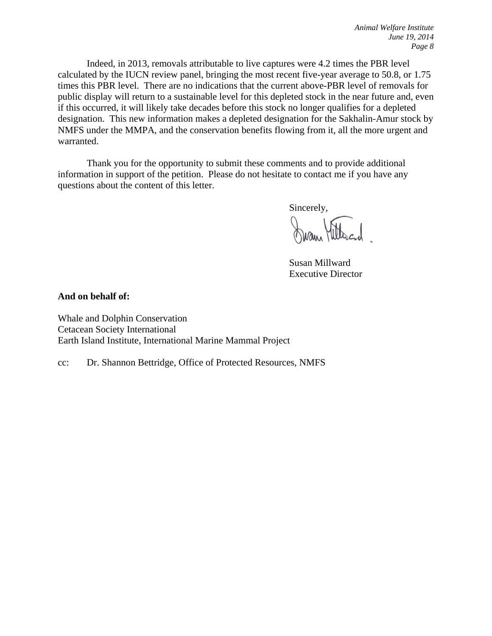Indeed, in 2013, removals attributable to live captures were 4.2 times the PBR level calculated by the IUCN review panel, bringing the most recent five-year average to 50.8, or 1.75 times this PBR level. There are no indications that the current above-PBR level of removals for public display will return to a sustainable level for this depleted stock in the near future and, even if this occurred, it will likely take decades before this stock no longer qualifies for a depleted designation. This new information makes a depleted designation for the Sakhalin-Amur stock by NMFS under the MMPA, and the conservation benefits flowing from it, all the more urgent and warranted.

Thank you for the opportunity to submit these comments and to provide additional information in support of the petition. Please do not hesitate to contact me if you have any questions about the content of this letter.

Sincerely,

Nam Hillacid

Susan Millward Executive Director

**And on behalf of:** 

Whale and Dolphin Conservation Cetacean Society International Earth Island Institute, International Marine Mammal Project

cc: Dr. Shannon Bettridge, Office of Protected Resources, NMFS